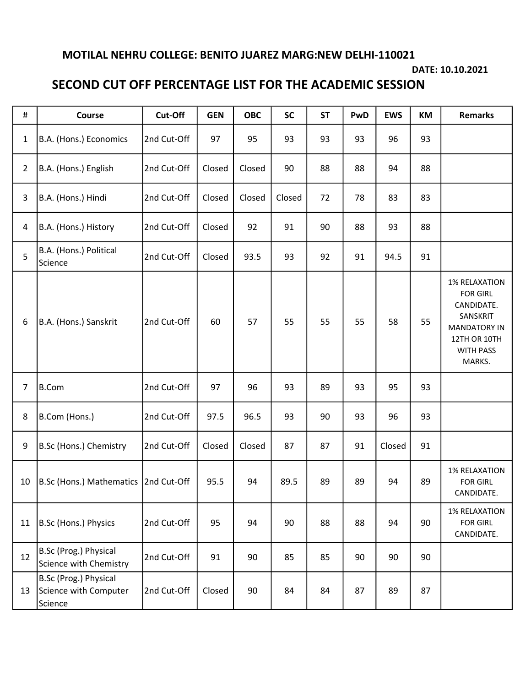## MOTILAL NEHRU COLLEGE: BENITO JUAREZ MARG:NEW DELHI-110021

## DATE: 10.10.2021

## SECOND CUT OFF PERCENTAGE LIST FOR THE ACADEMIC SESSION

| $\#$           | Course                                                    | Cut-Off     | <b>GEN</b> | <b>OBC</b> | <b>SC</b> | <b>ST</b> | PwD | <b>EWS</b> | KM | <b>Remarks</b>                                                                                                                         |
|----------------|-----------------------------------------------------------|-------------|------------|------------|-----------|-----------|-----|------------|----|----------------------------------------------------------------------------------------------------------------------------------------|
| $\mathbf{1}$   | B.A. (Hons.) Economics                                    | 2nd Cut-Off | 97         | 95         | 93        | 93        | 93  | 96         | 93 |                                                                                                                                        |
| $\overline{2}$ | B.A. (Hons.) English                                      | 2nd Cut-Off | Closed     | Closed     | 90        | 88        | 88  | 94         | 88 |                                                                                                                                        |
| 3              | B.A. (Hons.) Hindi                                        | 2nd Cut-Off | Closed     | Closed     | Closed    | 72        | 78  | 83         | 83 |                                                                                                                                        |
| 4              | B.A. (Hons.) History                                      | 2nd Cut-Off | Closed     | 92         | 91        | 90        | 88  | 93         | 88 |                                                                                                                                        |
| 5              | B.A. (Hons.) Political<br>Science                         | 2nd Cut-Off | Closed     | 93.5       | 93        | 92        | 91  | 94.5       | 91 |                                                                                                                                        |
| 6              | B.A. (Hons.) Sanskrit                                     | 2nd Cut-Off | 60         | 57         | 55        | 55        | 55  | 58         | 55 | <b>1% RELAXATION</b><br><b>FOR GIRL</b><br>CANDIDATE.<br>SANSKRIT<br><b>MANDATORY IN</b><br>12TH OR 10TH<br><b>WITH PASS</b><br>MARKS. |
| 7              | B.Com                                                     | 2nd Cut-Off | 97         | 96         | 93        | 89        | 93  | 95         | 93 |                                                                                                                                        |
| 8              | B.Com (Hons.)                                             | 2nd Cut-Off | 97.5       | 96.5       | 93        | 90        | 93  | 96         | 93 |                                                                                                                                        |
| 9              | B.Sc (Hons.) Chemistry                                    | 2nd Cut-Off | Closed     | Closed     | 87        | 87        | 91  | Closed     | 91 |                                                                                                                                        |
| 10             | B.Sc (Hons.) Mathematics 2nd Cut-Off                      |             | 95.5       | 94         | 89.5      | 89        | 89  | 94         | 89 | <b>1% RELAXATION</b><br><b>FOR GIRL</b><br>CANDIDATE.                                                                                  |
| 11             | B.Sc (Hons.) Physics                                      | 2nd Cut-Off | 95         | 94         | 90        | 88        | 88  | 94         | 90 | <b>1% RELAXATION</b><br><b>FOR GIRL</b><br>CANDIDATE.                                                                                  |
| 12             | B.Sc (Prog.) Physical<br>Science with Chemistry           | 2nd Cut-Off | 91         | 90         | 85        | 85        | 90  | 90         | 90 |                                                                                                                                        |
| 13             | B.Sc (Prog.) Physical<br>Science with Computer<br>Science | 2nd Cut-Off | Closed     | 90         | 84        | 84        | 87  | 89         | 87 |                                                                                                                                        |